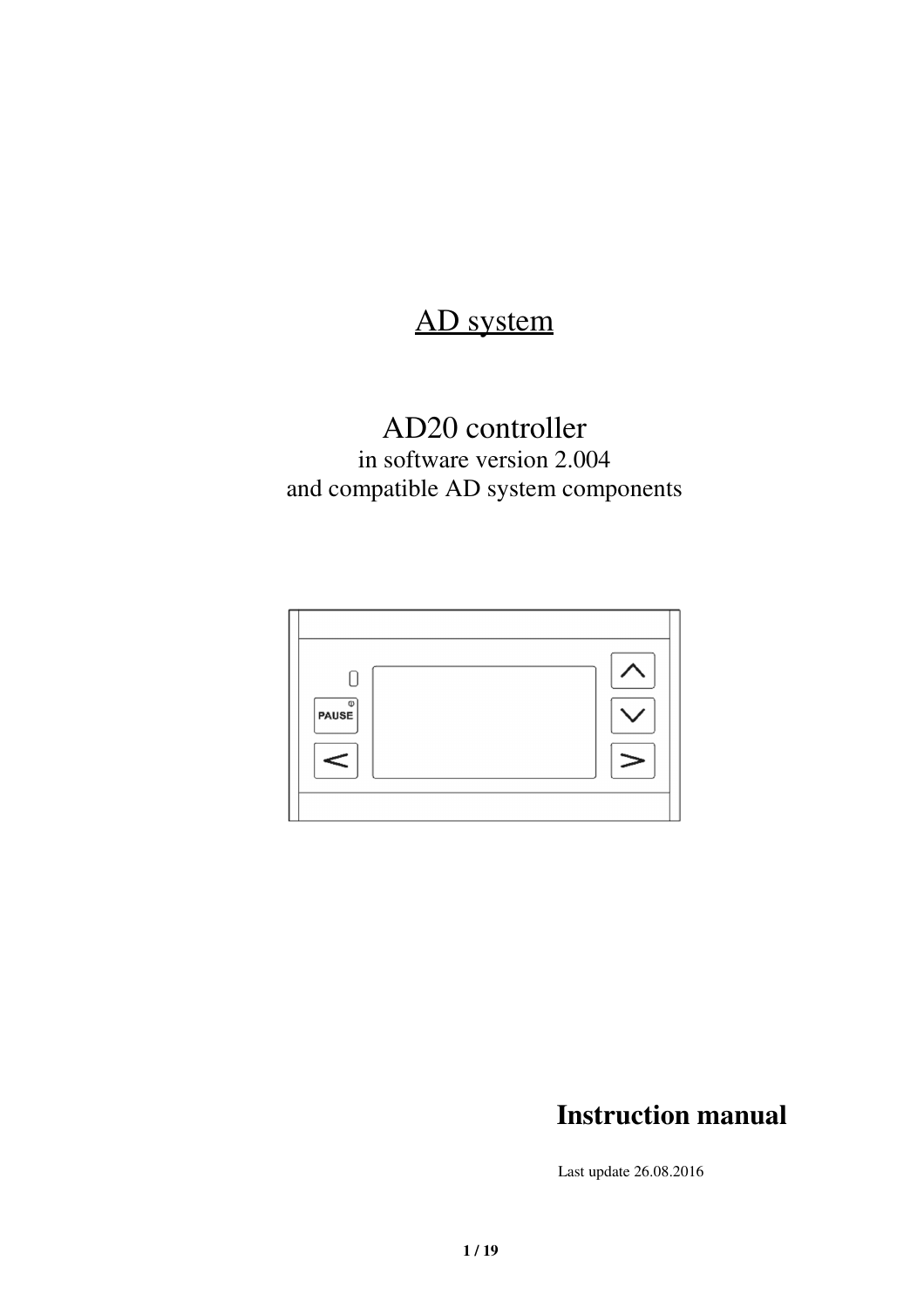# AD system

# AD20 controller

in software version 2.004 and compatible AD system components



# **Instruction manual**

Last update 26.08.2016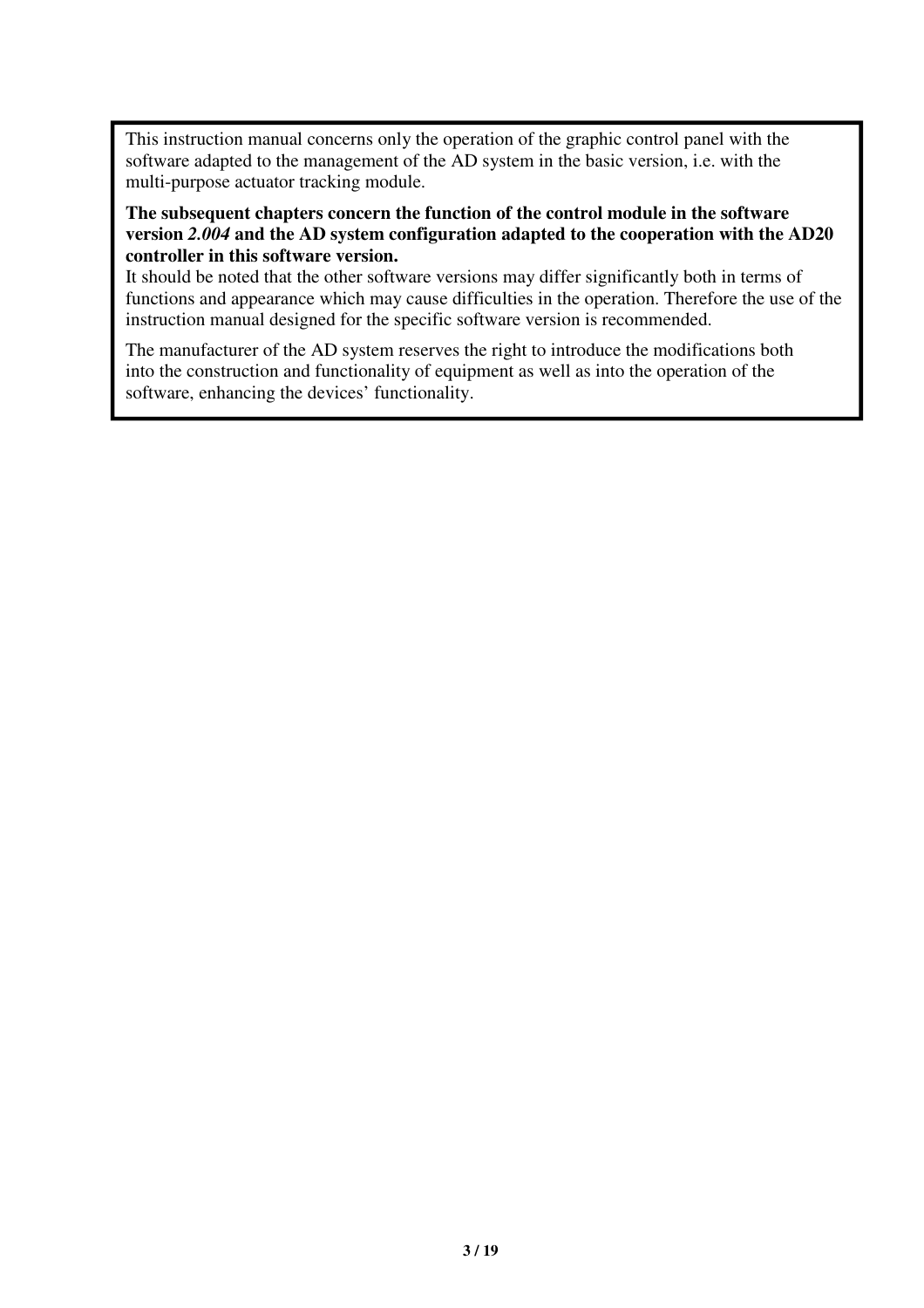This instruction manual concerns only the operation of the graphic control panel with the software adapted to the management of the AD system in the basic version, i.e. with the multi-purpose actuator tracking module.

### **The subsequent chapters concern the function of the control module in the software version** *2.004* **and the AD system configuration adapted to the cooperation with the AD20 controller in this software version.**

It should be noted that the other software versions may differ significantly both in terms of functions and appearance which may cause difficulties in the operation. Therefore the use of the instruction manual designed for the specific software version is recommended.

The manufacturer of the AD system reserves the right to introduce the modifications both into the construction and functionality of equipment as well as into the operation of the software, enhancing the devices' functionality.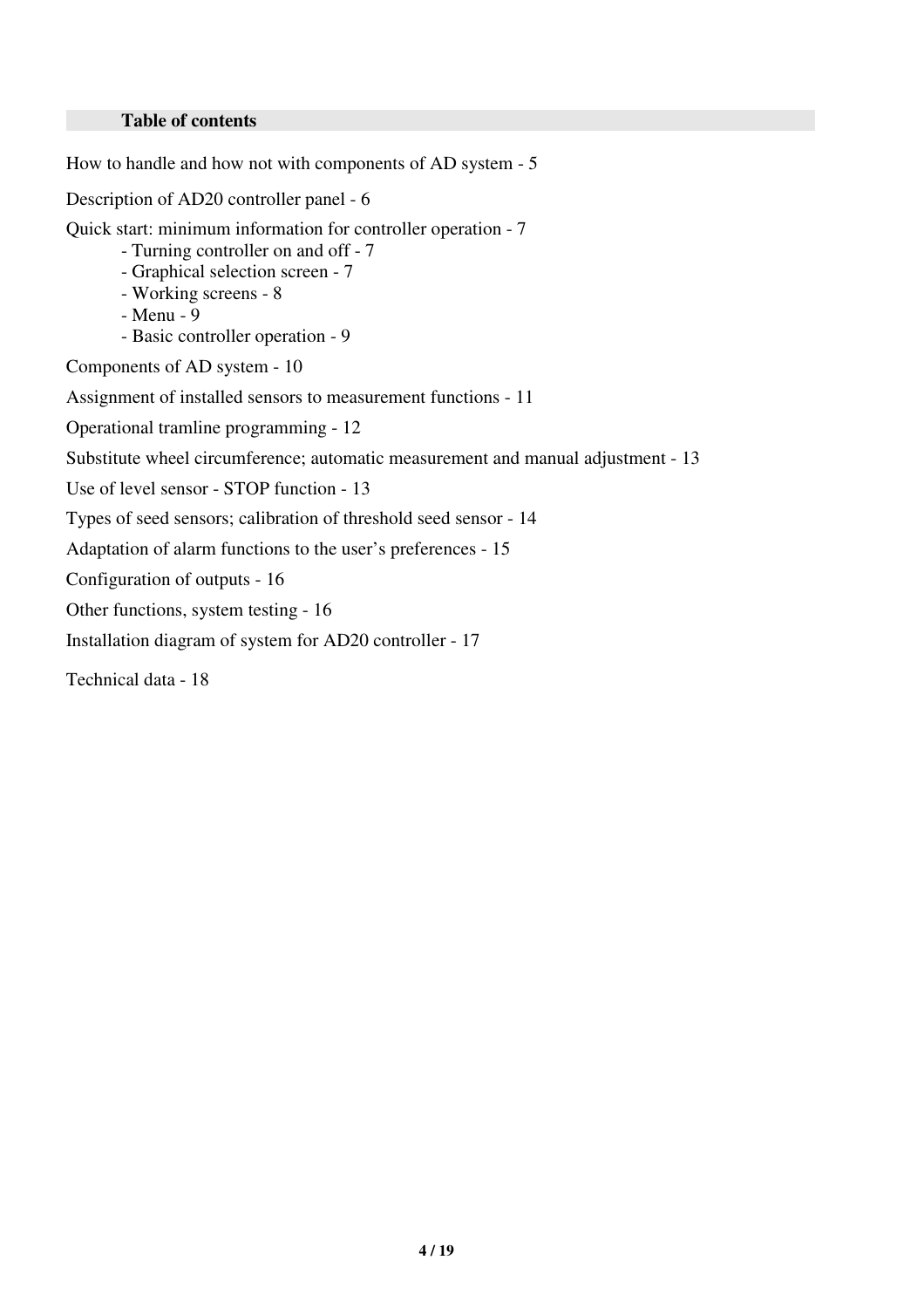#### **Table of contents**

How to handle and how not with components of AD system - 5

Description of AD20 controller panel - 6

Quick start: minimum information for controller operation - 7

- Turning controller on and off 7
- Graphical selection screen 7
- Working screens 8
- Menu 9
- Basic controller operation 9

Components of AD system - 10

Assignment of installed sensors to measurement functions - 11

Operational tramline programming - 12

Substitute wheel circumference; automatic measurement and manual adjustment - 13

Use of level sensor - STOP function - 13

Types of seed sensors; calibration of threshold seed sensor - 14

Adaptation of alarm functions to the user's preferences - 15

Configuration of outputs - 16

Other functions, system testing - 16

Installation diagram of system for AD20 controller - 17

Technical data - 18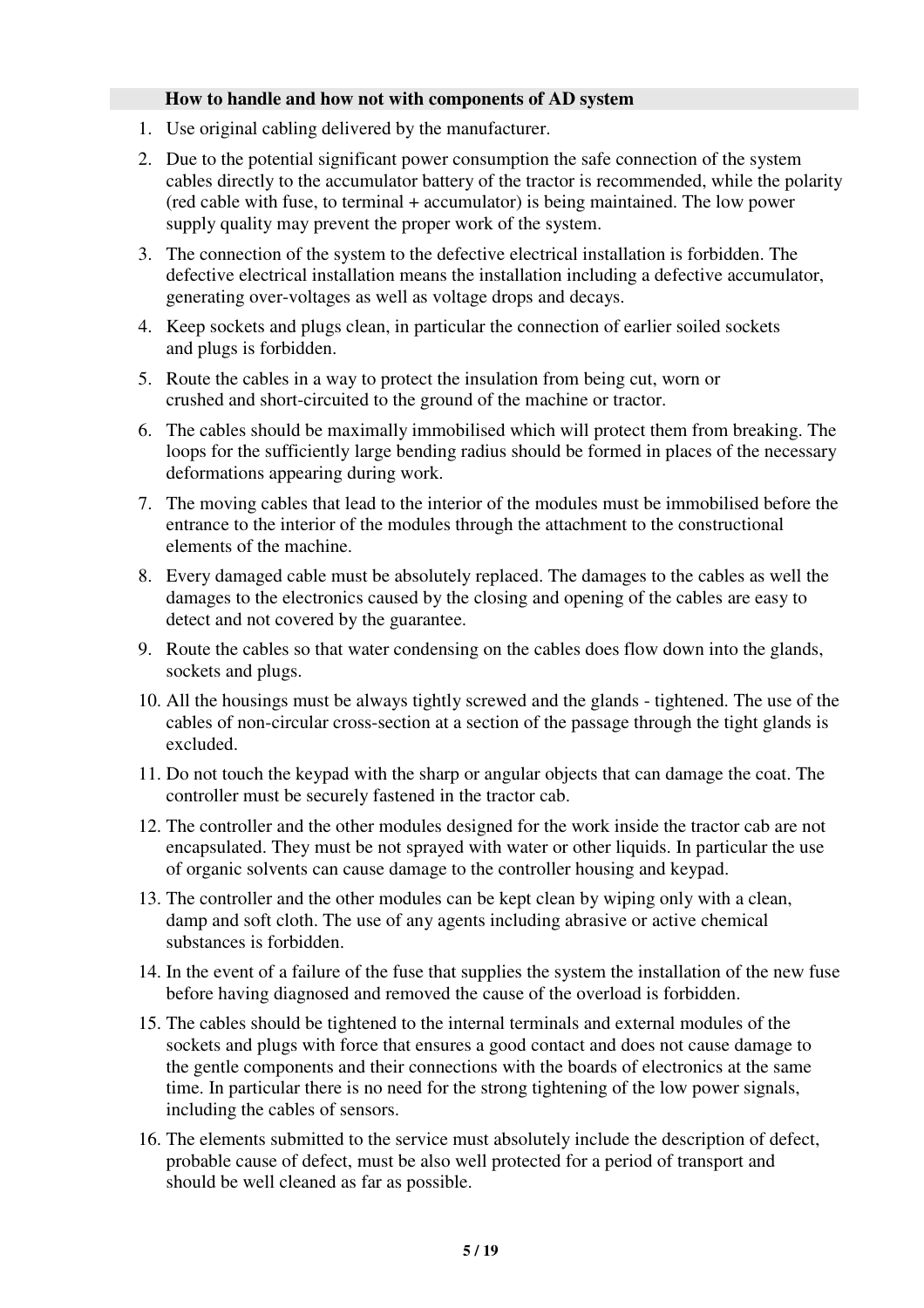#### **How to handle and how not with components of AD system**

- 1. Use original cabling delivered by the manufacturer.
- 2. Due to the potential significant power consumption the safe connection of the system cables directly to the accumulator battery of the tractor is recommended, while the polarity (red cable with fuse, to terminal + accumulator) is being maintained. The low power supply quality may prevent the proper work of the system.
- 3. The connection of the system to the defective electrical installation is forbidden. The defective electrical installation means the installation including a defective accumulator, generating over-voltages as well as voltage drops and decays.
- 4. Keep sockets and plugs clean, in particular the connection of earlier soiled sockets and plugs is forbidden.
- 5. Route the cables in a way to protect the insulation from being cut, worn or crushed and short-circuited to the ground of the machine or tractor.
- 6. The cables should be maximally immobilised which will protect them from breaking. The loops for the sufficiently large bending radius should be formed in places of the necessary deformations appearing during work.
- 7. The moving cables that lead to the interior of the modules must be immobilised before the entrance to the interior of the modules through the attachment to the constructional elements of the machine.
- 8. Every damaged cable must be absolutely replaced. The damages to the cables as well the damages to the electronics caused by the closing and opening of the cables are easy to detect and not covered by the guarantee.
- 9. Route the cables so that water condensing on the cables does flow down into the glands, sockets and plugs.
- 10. All the housings must be always tightly screwed and the glands tightened. The use of the cables of non-circular cross-section at a section of the passage through the tight glands is excluded.
- 11. Do not touch the keypad with the sharp or angular objects that can damage the coat. The controller must be securely fastened in the tractor cab.
- 12. The controller and the other modules designed for the work inside the tractor cab are not encapsulated. They must be not sprayed with water or other liquids. In particular the use of organic solvents can cause damage to the controller housing and keypad.
- 13. The controller and the other modules can be kept clean by wiping only with a clean, damp and soft cloth. The use of any agents including abrasive or active chemical substances is forbidden.
- 14. In the event of a failure of the fuse that supplies the system the installation of the new fuse before having diagnosed and removed the cause of the overload is forbidden.
- 15. The cables should be tightened to the internal terminals and external modules of the sockets and plugs with force that ensures a good contact and does not cause damage to the gentle components and their connections with the boards of electronics at the same time. In particular there is no need for the strong tightening of the low power signals, including the cables of sensors.
- 16. The elements submitted to the service must absolutely include the description of defect, probable cause of defect, must be also well protected for a period of transport and should be well cleaned as far as possible.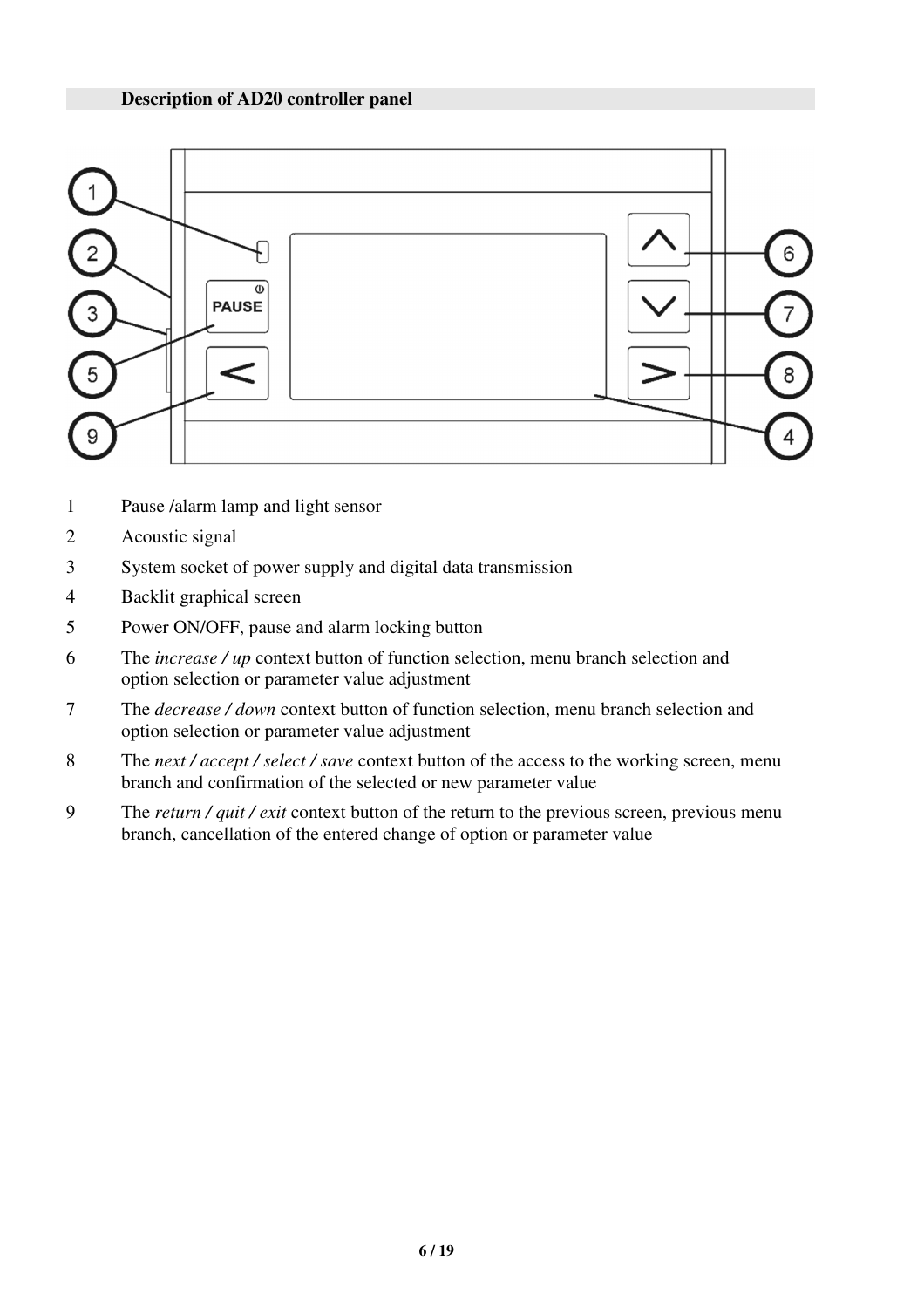

- 1 Pause /alarm lamp and light sensor
- 2 Acoustic signal
- 3 System socket of power supply and digital data transmission
- 4 Backlit graphical screen
- 5 Power ON/OFF, pause and alarm locking button
- 6 The *increase / up* context button of function selection, menu branch selection and option selection or parameter value adjustment
- 7 The *decrease / down* context button of function selection, menu branch selection and option selection or parameter value adjustment
- 8 The *next / accept / select / save* context button of the access to the working screen, menu branch and confirmation of the selected or new parameter value
- 9 The *return / quit / exit* context button of the return to the previous screen, previous menu branch, cancellation of the entered change of option or parameter value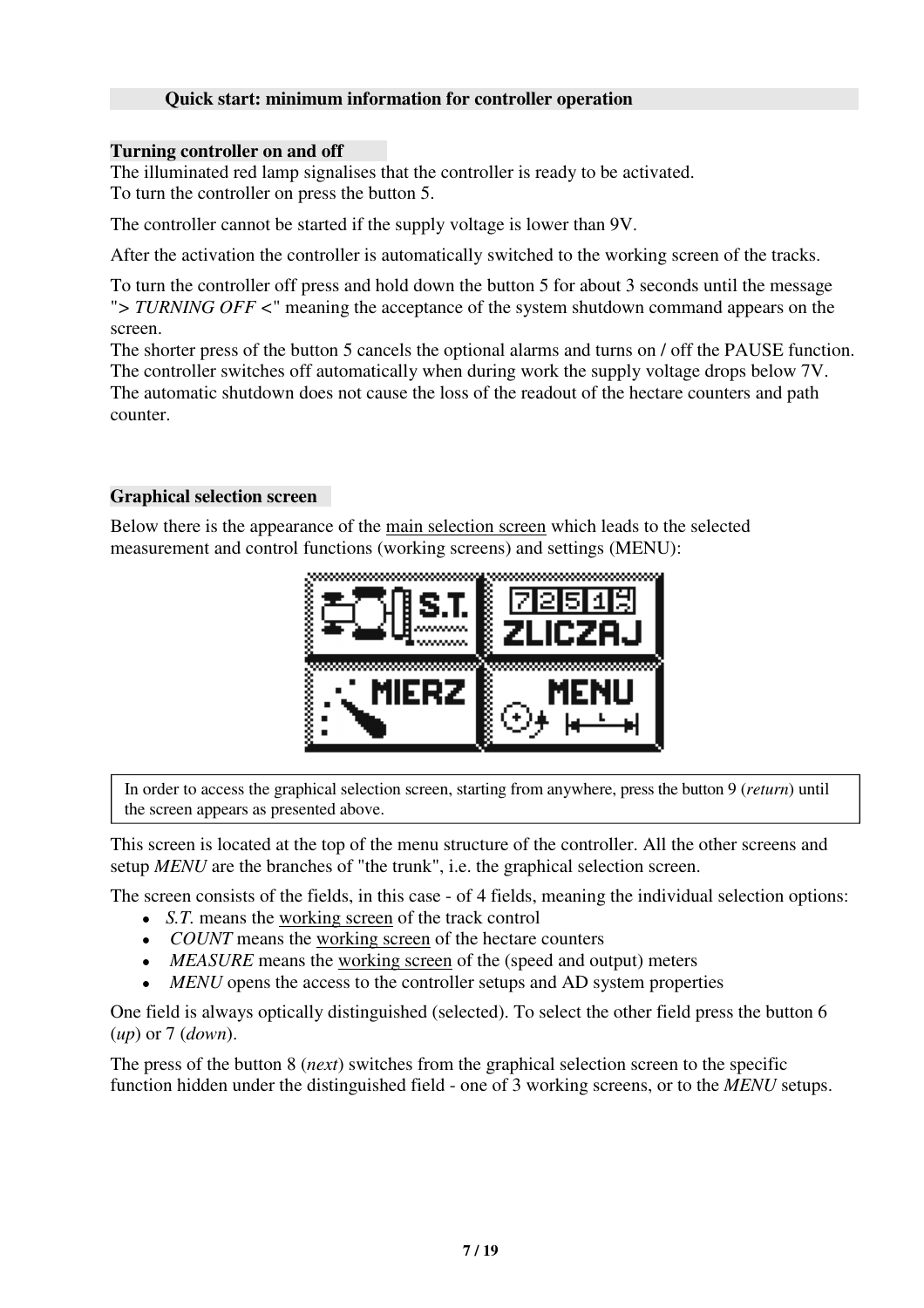### **Quick start: minimum information for controller operation**

#### **Turning controller on and off**

The illuminated red lamp signalises that the controller is ready to be activated. To turn the controller on press the button 5.

The controller cannot be started if the supply voltage is lower than 9V.

After the activation the controller is automatically switched to the working screen of the tracks.

To turn the controller off press and hold down the button 5 for about 3 seconds until the message "*> TURNING OFF <*" meaning the acceptance of the system shutdown command appears on the screen.

The shorter press of the button 5 cancels the optional alarms and turns on / off the PAUSE function. The controller switches off automatically when during work the supply voltage drops below 7V. The automatic shutdown does not cause the loss of the readout of the hectare counters and path counter.

### **Graphical selection screen**

Below there is the appearance of the main selection screen which leads to the selected measurement and control functions (working screens) and settings (MENU):



In order to access the graphical selection screen, starting from anywhere, press the button 9 (*return*) until the screen appears as presented above.

This screen is located at the top of the menu structure of the controller. All the other screens and setup *MENU* are the branches of "the trunk", i.e. the graphical selection screen.

The screen consists of the fields, in this case - of 4 fields, meaning the individual selection options:

- *S.T.* means the working screen of the track control
- *COUNT* means the working screen of the hectare counters
- *MEASURE* means the working screen of the (speed and output) meters
- *MENU* opens the access to the controller setups and AD system properties

One field is always optically distinguished (selected). To select the other field press the button 6 (*up*) or 7 (*down*).

The press of the button 8 (*next*) switches from the graphical selection screen to the specific function hidden under the distinguished field - one of 3 working screens, or to the *MENU* setups.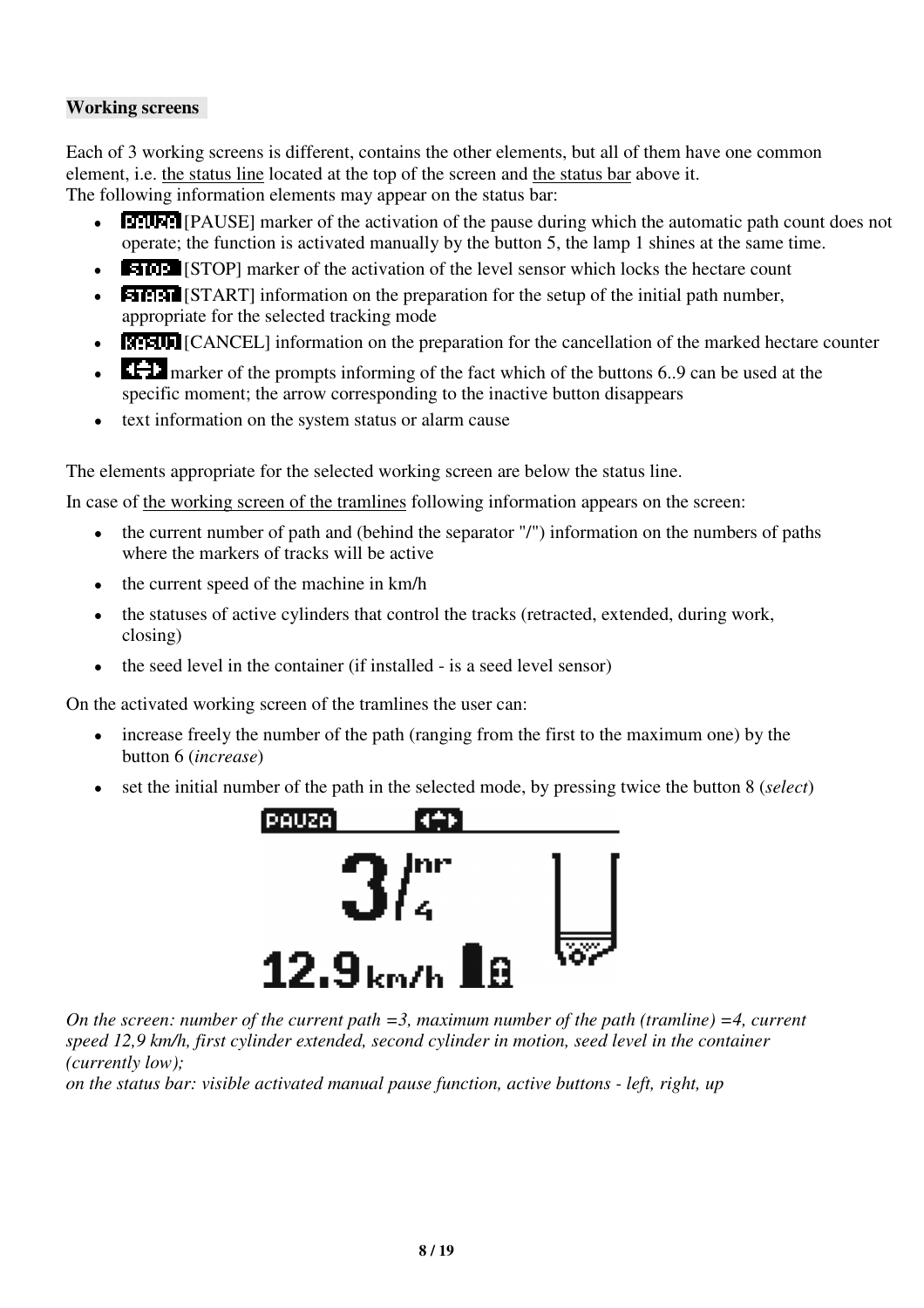## **Working screens**

Each of 3 working screens is different, contains the other elements, but all of them have one common element, i.e. the status line located at the top of the screen and the status bar above it. The following information elements may appear on the status bar:

- **[PAUSE]** marker of the activation of the pause during which the automatic path count does not operate; the function is activated manually by the button 5, the lamp 1 shines at the same time.
- **EMPLE** [STOP] marker of the activation of the level sensor which locks the hectare count
- **EMPLE** [START] information on the preparation for the setup of the initial path number, appropriate for the selected tracking mode
- **EFELD** [CANCEL] information on the preparation for the cancellation of the marked hectare counter
- **CH** marker of the prompts informing of the fact which of the buttons 6..9 can be used at the specific moment; the arrow corresponding to the inactive button disappears
- text information on the system status or alarm cause

The elements appropriate for the selected working screen are below the status line.

In case of the working screen of the tramlines following information appears on the screen:

- $\bullet$  the current number of path and (behind the separator "/") information on the numbers of paths where the markers of tracks will be active
- $\bullet$  the current speed of the machine in km/h
- the statuses of active cylinders that control the tracks (retracted, extended, during work, closing)
- the seed level in the container (if installed is a seed level sensor)

On the activated working screen of the tramlines the user can:

- increase freely the number of the path (ranging from the first to the maximum one) by the button 6 (*increase*)
- set the initial number of the path in the selected mode, by pressing twice the button 8 (*select*)



*On the screen: number of the current path =3, maximum number of the path (tramline) =4, current speed 12,9 km/h, first cylinder extended, second cylinder in motion, seed level in the container (currently low);*

*on the status bar: visible activated manual pause function, active buttons - left, right, up*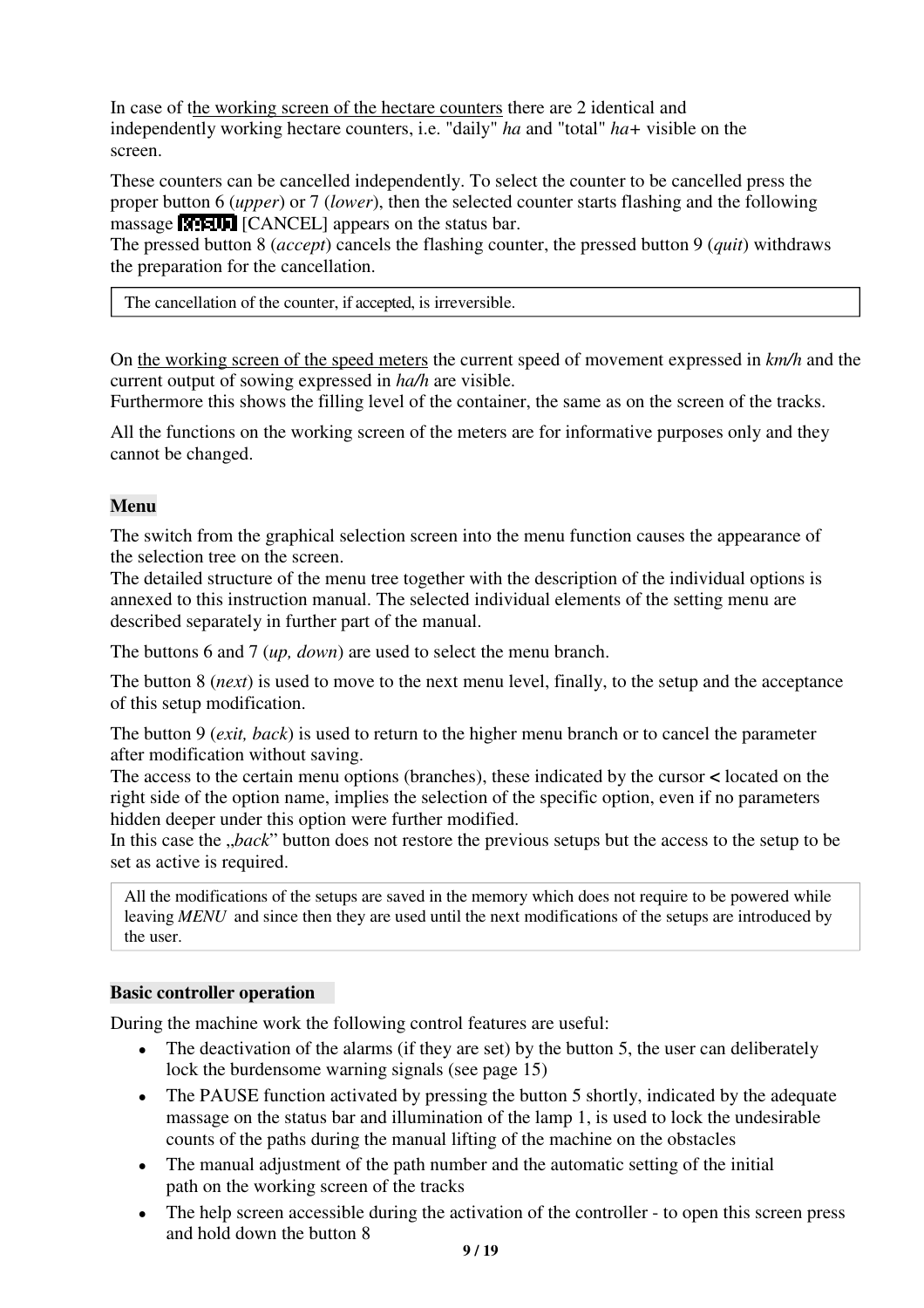In case of the working screen of the hectare counters there are 2 identical and independently working hectare counters, i.e. "daily" *ha* and "total" *ha+* visible on the screen.

These counters can be cancelled independently. To select the counter to be cancelled press the proper button 6 (*upper*) or 7 (*lower*), then the selected counter starts flashing and the following massage **[CANCEL**] appears on the status bar.

The pressed button 8 (*accept*) cancels the flashing counter, the pressed button 9 (*quit*) withdraws the preparation for the cancellation.

The cancellation of the counter, if accepted, is irreversible.

On the working screen of the speed meters the current speed of movement expressed in *km/h* and the current output of sowing expressed in *ha/h* are visible.

Furthermore this shows the filling level of the container, the same as on the screen of the tracks.

All the functions on the working screen of the meters are for informative purposes only and they cannot be changed.

### **Menu**

The switch from the graphical selection screen into the menu function causes the appearance of the selection tree on the screen.

The detailed structure of the menu tree together with the description of the individual options is annexed to this instruction manual. The selected individual elements of the setting menu are described separately in further part of the manual.

The buttons 6 and 7 (*up, down*) are used to select the menu branch.

The button 8 (*next*) is used to move to the next menu level, finally, to the setup and the acceptance of this setup modification.

The button 9 (*exit, back*) is used to return to the higher menu branch or to cancel the parameter after modification without saving.

The access to the certain menu options (branches), these indicated by the cursor **<** located on the right side of the option name, implies the selection of the specific option, even if no parameters hidden deeper under this option were further modified.

In this case the *"back*" button does not restore the previous setups but the access to the setup to be set as active is required.

All the modifications of the setups are saved in the memory which does not require to be powered while leaving *MENU* and since then they are used until the next modifications of the setups are introduced by the user.

#### **Basic controller operation**

During the machine work the following control features are useful:

- The deactivation of the alarms (if they are set) by the button 5, the user can deliberately lock the burdensome warning signals (see page 15)
- The PAUSE function activated by pressing the button 5 shortly, indicated by the adequate massage on the status bar and illumination of the lamp 1, is used to lock the undesirable counts of the paths during the manual lifting of the machine on the obstacles
- The manual adjustment of the path number and the automatic setting of the initial path on the working screen of the tracks
- The help screen accessible during the activation of the controller to open this screen press and hold down the button 8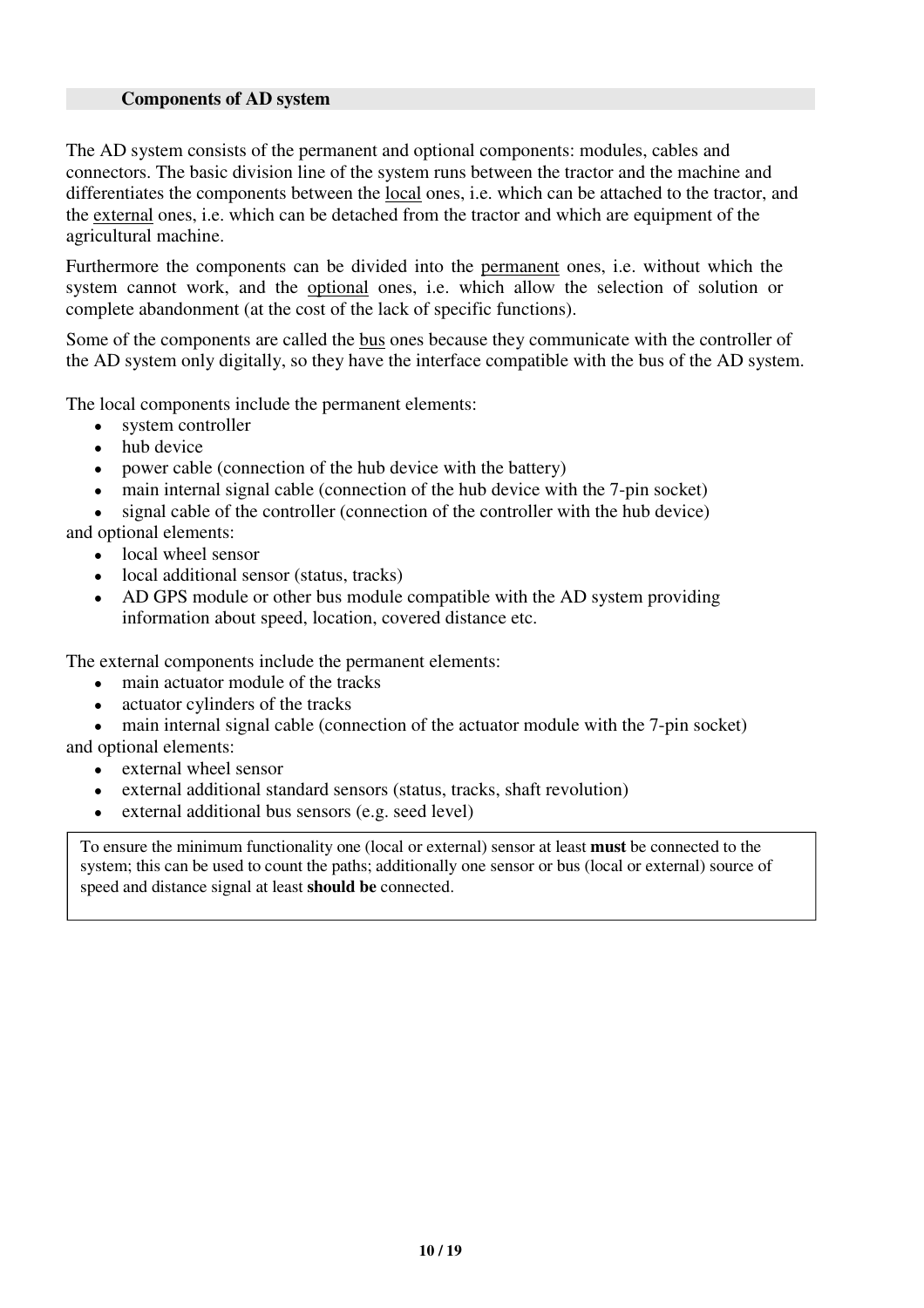#### **Components of AD system**

The AD system consists of the permanent and optional components: modules, cables and connectors. The basic division line of the system runs between the tractor and the machine and differentiates the components between the local ones, i.e. which can be attached to the tractor, and the external ones, i.e. which can be detached from the tractor and which are equipment of the agricultural machine.

Furthermore the components can be divided into the permanent ones, i.e. without which the system cannot work, and the optional ones, i.e. which allow the selection of solution or complete abandonment (at the cost of the lack of specific functions).

Some of the components are called the bus ones because they communicate with the controller of the AD system only digitally, so they have the interface compatible with the bus of the AD system.

The local components include the permanent elements:

- system controller
- hub device
- power cable (connection of the hub device with the battery)
- main internal signal cable (connection of the hub device with the 7-pin socket)

signal cable of the controller (connection of the controller with the hub device) and optional elements:

- local wheel sensor
- local additional sensor (status, tracks)
- AD GPS module or other bus module compatible with the AD system providing information about speed, location, covered distance etc.

The external components include the permanent elements:

- main actuator module of the tracks
- actuator cylinders of the tracks
- main internal signal cable (connection of the actuator module with the 7-pin socket) and optional elements:
	- external wheel sensor
	- external additional standard sensors (status, tracks, shaft revolution)
	- external additional bus sensors (e.g. seed level)

To ensure the minimum functionality one (local or external) sensor at least **must** be connected to the system; this can be used to count the paths; additionally one sensor or bus (local or external) source of speed and distance signal at least **should be** connected.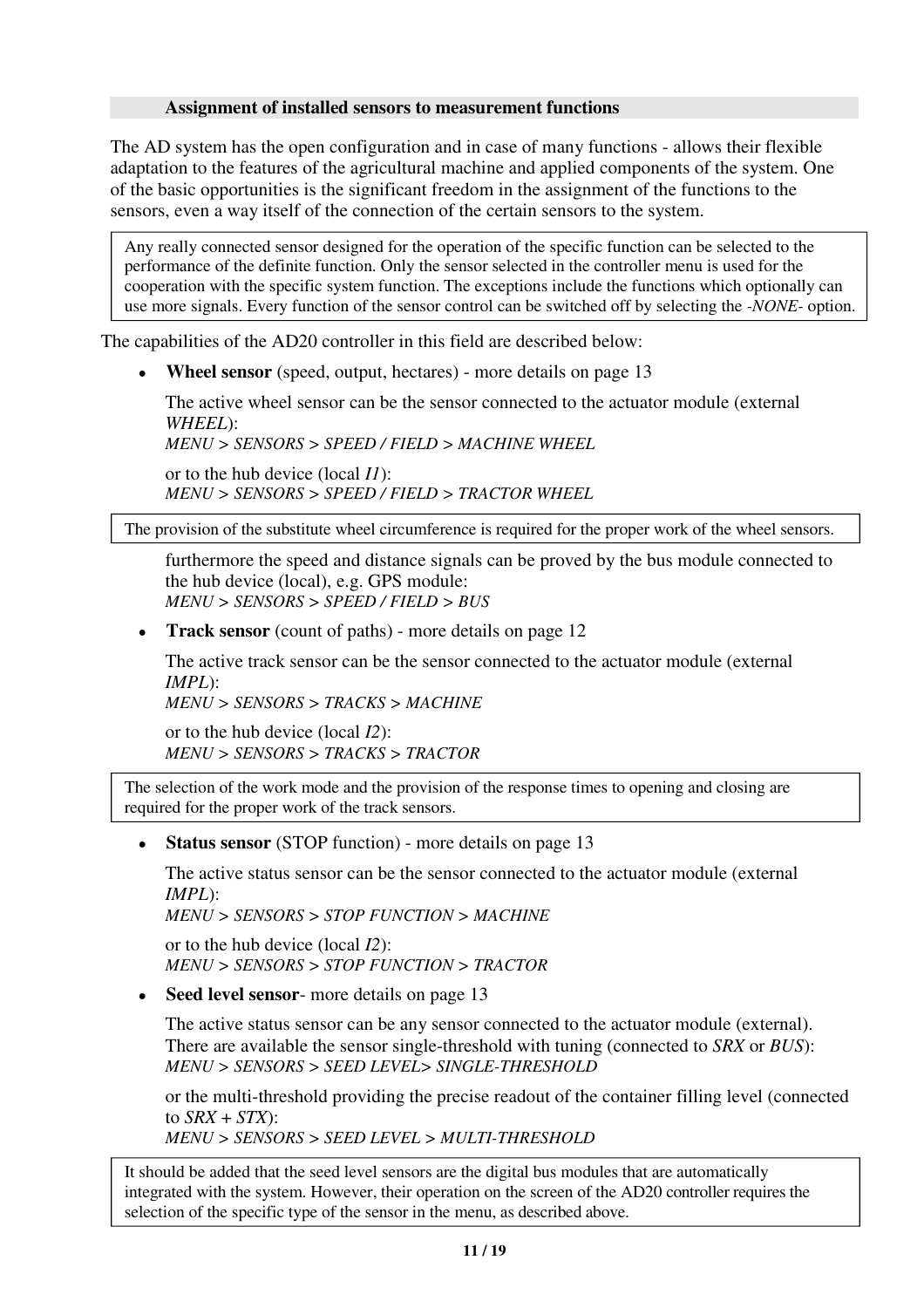#### **Assignment of installed sensors to measurement functions**

The AD system has the open configuration and in case of many functions - allows their flexible adaptation to the features of the agricultural machine and applied components of the system. One of the basic opportunities is the significant freedom in the assignment of the functions to the sensors, even a way itself of the connection of the certain sensors to the system.

Any really connected sensor designed for the operation of the specific function can be selected to the performance of the definite function. Only the sensor selected in the controller menu is used for the cooperation with the specific system function. The exceptions include the functions which optionally can use more signals. Every function of the sensor control can be switched off by selecting the *-NONE-* option.

The capabilities of the AD20 controller in this field are described below:

• **Wheel sensor** (speed, output, hectares) - more details on page 13

The active wheel sensor can be the sensor connected to the actuator module (external *WHEEL*):

*MENU > SENSORS > SPEED / FIELD > MACHINE WHEEL*

or to the hub device (local *I1*): *MENU > SENSORS > SPEED / FIELD > TRACTOR WHEEL*

The provision of the substitute wheel circumference is required for the proper work of the wheel sensors.

furthermore the speed and distance signals can be proved by the bus module connected to the hub device (local), e.g. GPS module: *MENU > SENSORS > SPEED / FIELD > BUS*

• **Track sensor** (count of paths) - more details on page 12

The active track sensor can be the sensor connected to the actuator module (external *IMPL*):

*MENU > SENSORS > TRACKS > MACHINE*

or to the hub device (local *I2*): *MENU > SENSORS > TRACKS > TRACTOR*

The selection of the work mode and the provision of the response times to opening and closing are required for the proper work of the track sensors.

• **Status sensor** (STOP function) - more details on page 13

The active status sensor can be the sensor connected to the actuator module (external *IMPL*):

*MENU > SENSORS > STOP FUNCTION > MACHINE*

or to the hub device (local *I2*): *MENU > SENSORS > STOP FUNCTION > TRACTOR*

• **Seed level sensor**- more details on page 13

The active status sensor can be any sensor connected to the actuator module (external). There are available the sensor single-threshold with tuning (connected to *SRX* or *BUS*): *MENU > SENSORS > SEED LEVEL> SINGLE-THRESHOLD*

or the multi-threshold providing the precise readout of the container filling level (connected to  $SRX + STX$ :

*MENU > SENSORS > SEED LEVEL > MULTI-THRESHOLD*

It should be added that the seed level sensors are the digital bus modules that are automatically integrated with the system. However, their operation on the screen of the AD20 controller requires the selection of the specific type of the sensor in the menu, as described above.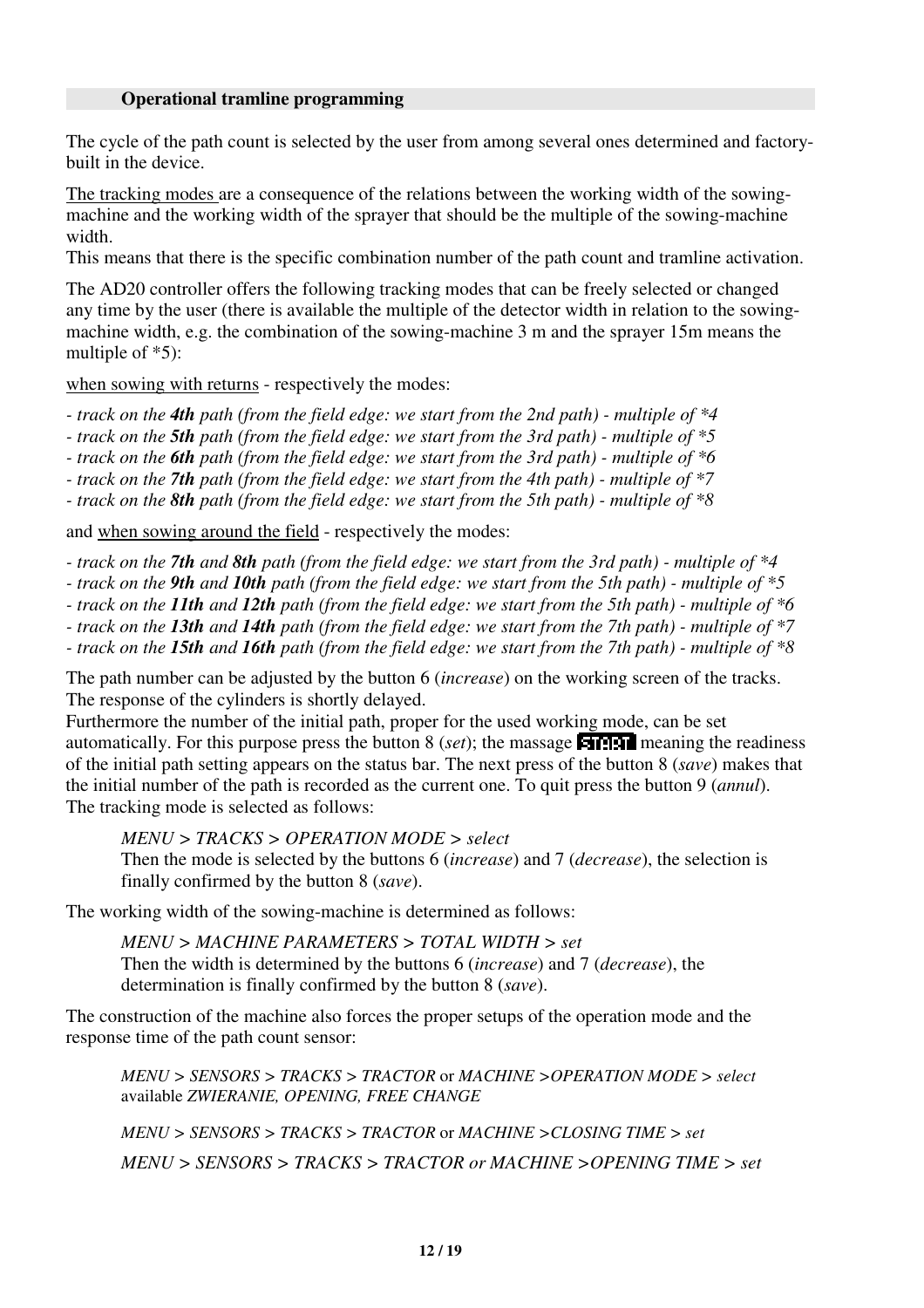#### **Operational tramline programming**

The cycle of the path count is selected by the user from among several ones determined and factorybuilt in the device.

The tracking modes are a consequence of the relations between the working width of the sowingmachine and the working width of the sprayer that should be the multiple of the sowing-machine width.

This means that there is the specific combination number of the path count and tramline activation.

The AD20 controller offers the following tracking modes that can be freely selected or changed any time by the user (there is available the multiple of the detector width in relation to the sowingmachine width, e.g. the combination of the sowing-machine 3 m and the sprayer 15m means the multiple of \*5):

when sowing with returns - respectively the modes:

*- track on the 4th path (from the field edge: we start from the 2nd path) - multiple of \*4*

*- track on the 5th path (from the field edge: we start from the 3rd path) - multiple of \*5*

*- track on the 6th path (from the field edge: we start from the 3rd path) - multiple of \*6*

*- track on the 7th path (from the field edge: we start from the 4th path) - multiple of \*7*

*- track on the 8th path (from the field edge: we start from the 5th path) - multiple of \*8*

and when sowing around the field - respectively the modes:

*- track on the 7th and 8th path (from the field edge: we start from the 3rd path) - multiple of \*4*

*- track on the 9th and 10th path (from the field edge: we start from the 5th path) - multiple of \*5*

*- track on the 11th and 12th path (from the field edge: we start from the 5th path) - multiple of \*6*

*- track on the 13th and 14th path (from the field edge: we start from the 7th path) - multiple of \*7*

*- track on the 15th and 16th path (from the field edge: we start from the 7th path) - multiple of \*8*

The path number can be adjusted by the button 6 (*increase*) on the working screen of the tracks. The response of the cylinders is shortly delayed.

Furthermore the number of the initial path, proper for the used working mode, can be set automatically. For this purpose press the button  $8$  (*set*); the massage **entity in** meaning the readiness of the initial path setting appears on the status bar. The next press of the button 8 (*save*) makes that the initial number of the path is recorded as the current one. To quit press the button 9 (*annul*). The tracking mode is selected as follows:

*MENU > TRACKS > OPERATION MODE > select*

Then the mode is selected by the buttons 6 (*increase*) and 7 (*decrease*), the selection is finally confirmed by the button 8 (*save*).

The working width of the sowing-machine is determined as follows:

*MENU > MACHINE PARAMETERS > TOTAL WIDTH > set* Then the width is determined by the buttons 6 (*increase*) and 7 (*decrease*), the determination is finally confirmed by the button 8 (*save*).

The construction of the machine also forces the proper setups of the operation mode and the response time of the path count sensor:

*MENU > SENSORS > TRACKS > TRACTOR* or *MACHINE >OPERATION MODE > select* available *ZWIERANIE, OPENING, FREE CHANGE*

*MENU > SENSORS > TRACKS > TRACTOR* or *MACHINE >CLOSING TIME > set MENU > SENSORS > TRACKS > TRACTOR or MACHINE >OPENING TIME > set*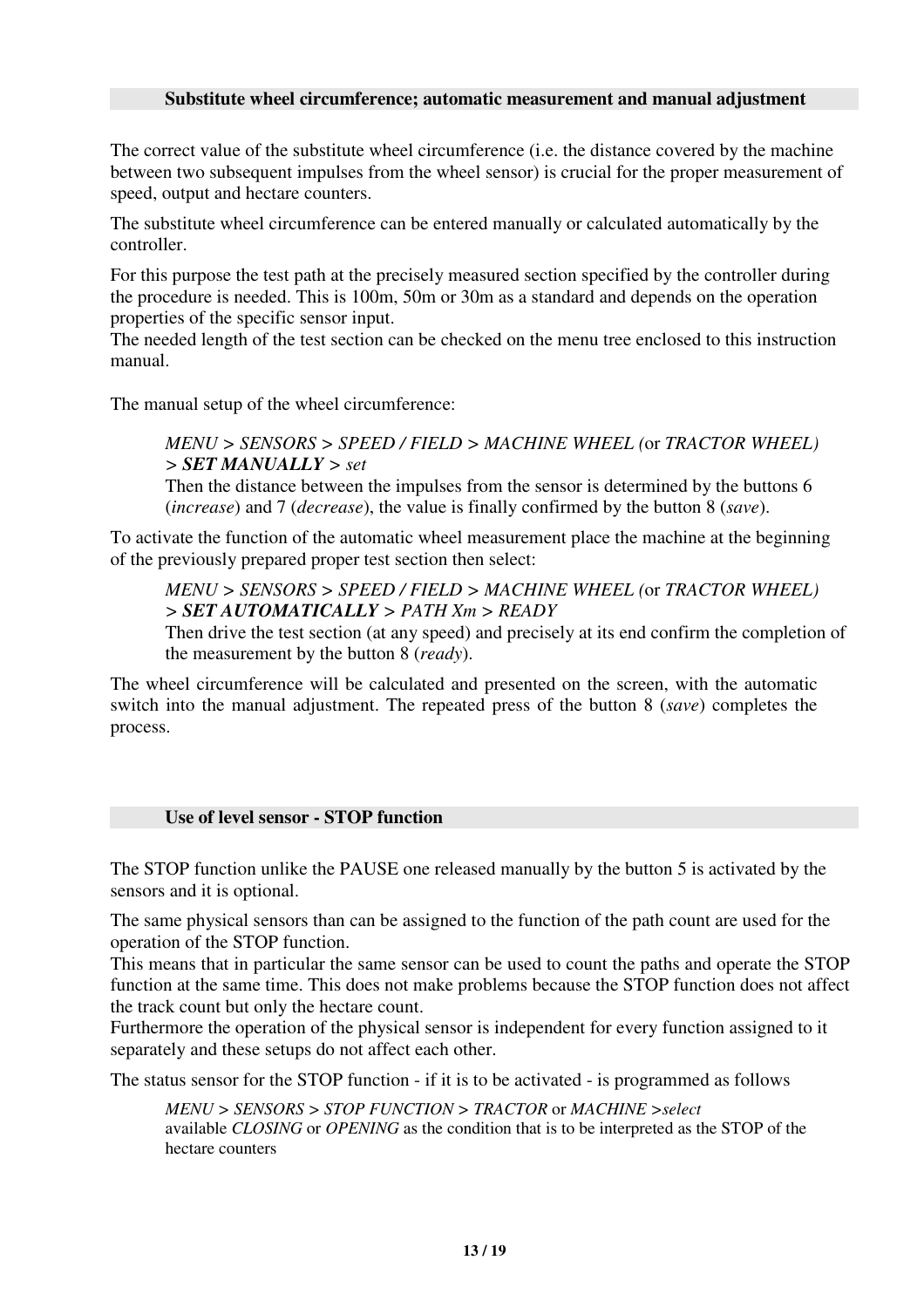#### **Substitute wheel circumference; automatic measurement and manual adjustment**

The correct value of the substitute wheel circumference (i.e. the distance covered by the machine between two subsequent impulses from the wheel sensor) is crucial for the proper measurement of speed, output and hectare counters.

The substitute wheel circumference can be entered manually or calculated automatically by the controller.

For this purpose the test path at the precisely measured section specified by the controller during the procedure is needed. This is 100m, 50m or 30m as a standard and depends on the operation properties of the specific sensor input.

The needed length of the test section can be checked on the menu tree enclosed to this instruction manual.

The manual setup of the wheel circumference:

### *MENU > SENSORS > SPEED / FIELD > MACHINE WHEEL (*or *TRACTOR WHEEL) > SET MANUALLY > set*

Then the distance between the impulses from the sensor is determined by the buttons 6 (*increase*) and 7 (*decrease*), the value is finally confirmed by the button 8 (*save*).

To activate the function of the automatic wheel measurement place the machine at the beginning of the previously prepared proper test section then select:

*MENU > SENSORS > SPEED / FIELD > MACHINE WHEEL (*or *TRACTOR WHEEL) > SET AUTOMATICALLY > PATH Xm > READY*

Then drive the test section (at any speed) and precisely at its end confirm the completion of the measurement by the button 8 (*ready*).

The wheel circumference will be calculated and presented on the screen, with the automatic switch into the manual adjustment. The repeated press of the button 8 (*save*) completes the process.

#### **Use of level sensor - STOP function**

The STOP function unlike the PAUSE one released manually by the button 5 is activated by the sensors and it is optional.

The same physical sensors than can be assigned to the function of the path count are used for the operation of the STOP function.

This means that in particular the same sensor can be used to count the paths and operate the STOP function at the same time. This does not make problems because the STOP function does not affect the track count but only the hectare count.

Furthermore the operation of the physical sensor is independent for every function assigned to it separately and these setups do not affect each other.

The status sensor for the STOP function - if it is to be activated - is programmed as follows

*MENU > SENSORS > STOP FUNCTION > TRACTOR* or *MACHINE >select* available *CLOSING* or *OPENING* as the condition that is to be interpreted as the STOP of the hectare counters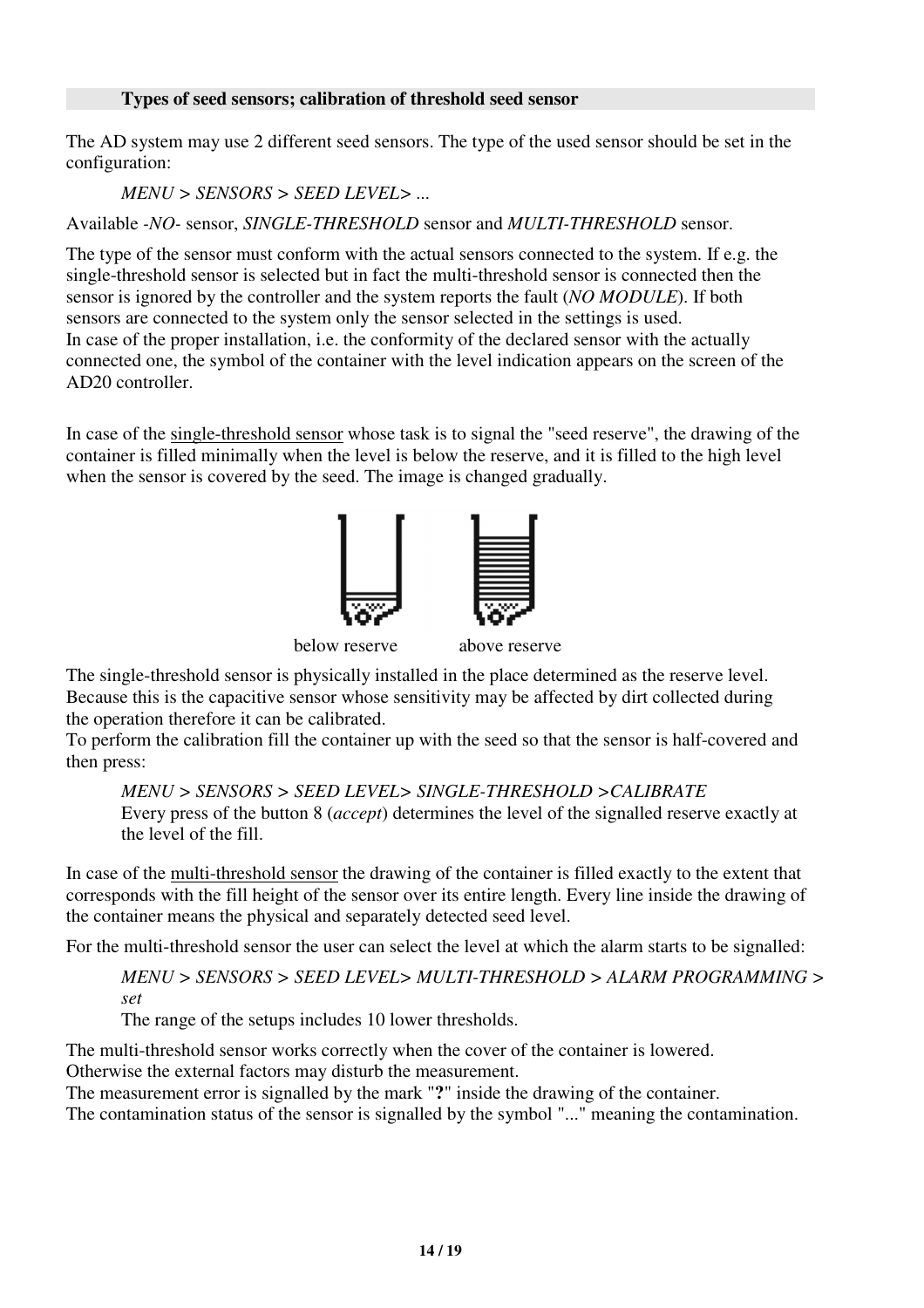### **Types of seed sensors; calibration of threshold seed sensor**

The AD system may use 2 different seed sensors. The type of the used sensor should be set in the configuration:

*MENU > SENSORS > SEED LEVEL> ...*

Available *-NO-* sensor, *SINGLE-THRESHOLD* sensor and *MULTI-THRESHOLD* sensor.

The type of the sensor must conform with the actual sensors connected to the system. If e.g. the single-threshold sensor is selected but in fact the multi-threshold sensor is connected then the sensor is ignored by the controller and the system reports the fault (*NO MODULE*). If both sensors are connected to the system only the sensor selected in the settings is used. In case of the proper installation, i.e. the conformity of the declared sensor with the actually connected one, the symbol of the container with the level indication appears on the screen of the AD20 controller.

In case of the single-threshold sensor whose task is to signal the "seed reserve", the drawing of the container is filled minimally when the level is below the reserve, and it is filled to the high level when the sensor is covered by the seed. The image is changed gradually.



below reserve above reserve

The single-threshold sensor is physically installed in the place determined as the reserve level. Because this is the capacitive sensor whose sensitivity may be affected by dirt collected during the operation therefore it can be calibrated.

To perform the calibration fill the container up with the seed so that the sensor is half-covered and then press:

*MENU > SENSORS > SEED LEVEL> SINGLE-THRESHOLD >CALIBRATE* Every press of the button 8 (*accept*) determines the level of the signalled reserve exactly at the level of the fill.

In case of the multi-threshold sensor the drawing of the container is filled exactly to the extent that corresponds with the fill height of the sensor over its entire length. Every line inside the drawing of the container means the physical and separately detected seed level.

For the multi-threshold sensor the user can select the level at which the alarm starts to be signalled:

*MENU > SENSORS > SEED LEVEL> MULTI-THRESHOLD > ALARM PROGRAMMING > set*

The range of the setups includes 10 lower thresholds.

The multi-threshold sensor works correctly when the cover of the container is lowered. Otherwise the external factors may disturb the measurement.

The measurement error is signalled by the mark "**?**" inside the drawing of the container.

The contamination status of the sensor is signalled by the symbol "..." meaning the contamination.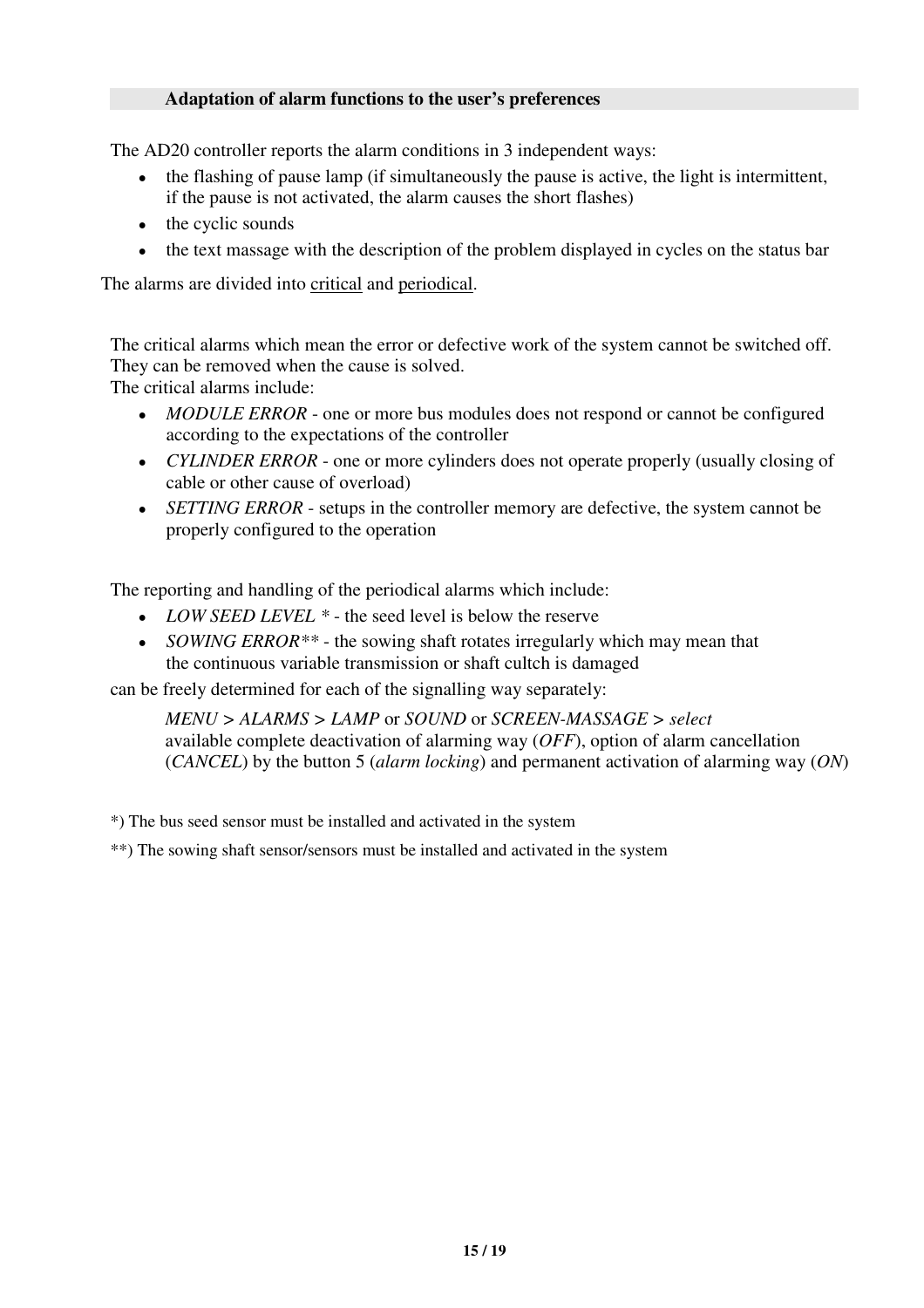### **Adaptation of alarm functions to the user's preferences**

The AD20 controller reports the alarm conditions in 3 independent ways:

- the flashing of pause lamp (if simultaneously the pause is active, the light is intermittent, if the pause is not activated, the alarm causes the short flashes)
- the cyclic sounds
- the text massage with the description of the problem displayed in cycles on the status bar

The alarms are divided into critical and periodical.

The critical alarms which mean the error or defective work of the system cannot be switched off. They can be removed when the cause is solved.

The critical alarms include:

- *MODULE ERROR* one or more bus modules does not respond or cannot be configured according to the expectations of the controller
- *CYLINDER ERROR* one or more cylinders does not operate properly (usually closing of cable or other cause of overload)
- *SETTING ERROR* setups in the controller memory are defective, the system cannot be properly configured to the operation

The reporting and handling of the periodical alarms which include:

- *LOW SEED LEVEL*  $*$  the seed level is below the reserve
- *SOWING ERROR*<sup>\*\*</sup> the sowing shaft rotates irregularly which may mean that the continuous variable transmission or shaft cultch is damaged

can be freely determined for each of the signalling way separately:

*MENU > ALARMS > LAMP* or *SOUND* or *SCREEN-MASSAGE > select* available complete deactivation of alarming way (*OFF*), option of alarm cancellation (*CANCEL*) by the button 5 (*alarm locking*) and permanent activation of alarming way (*ON*)

\*) The bus seed sensor must be installed and activated in the system

\*\*) The sowing shaft sensor/sensors must be installed and activated in the system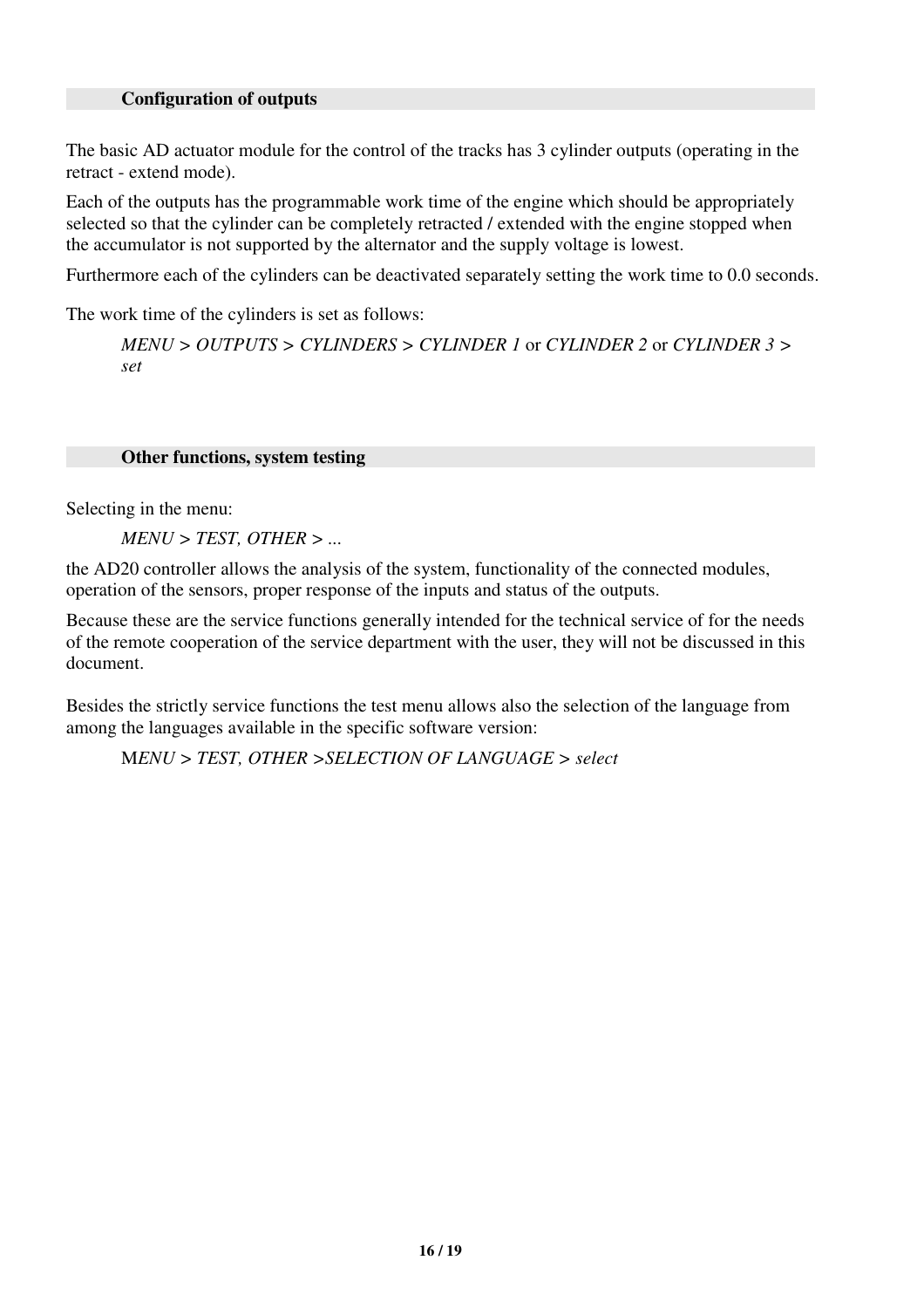#### **Configuration of outputs**

The basic AD actuator module for the control of the tracks has 3 cylinder outputs (operating in the retract - extend mode).

Each of the outputs has the programmable work time of the engine which should be appropriately selected so that the cylinder can be completely retracted / extended with the engine stopped when the accumulator is not supported by the alternator and the supply voltage is lowest.

Furthermore each of the cylinders can be deactivated separately setting the work time to 0.0 seconds.

The work time of the cylinders is set as follows:

*MENU > OUTPUTS > CYLINDERS > CYLINDER 1* or *CYLINDER 2* or *CYLINDER 3 > set*

#### **Other functions, system testing**

Selecting in the menu:

*MENU > TEST, OTHER > ...*

the AD20 controller allows the analysis of the system, functionality of the connected modules, operation of the sensors, proper response of the inputs and status of the outputs.

Because these are the service functions generally intended for the technical service of for the needs of the remote cooperation of the service department with the user, they will not be discussed in this document.

Besides the strictly service functions the test menu allows also the selection of the language from among the languages available in the specific software version:

M*ENU > TEST, OTHER >SELECTION OF LANGUAGE > select*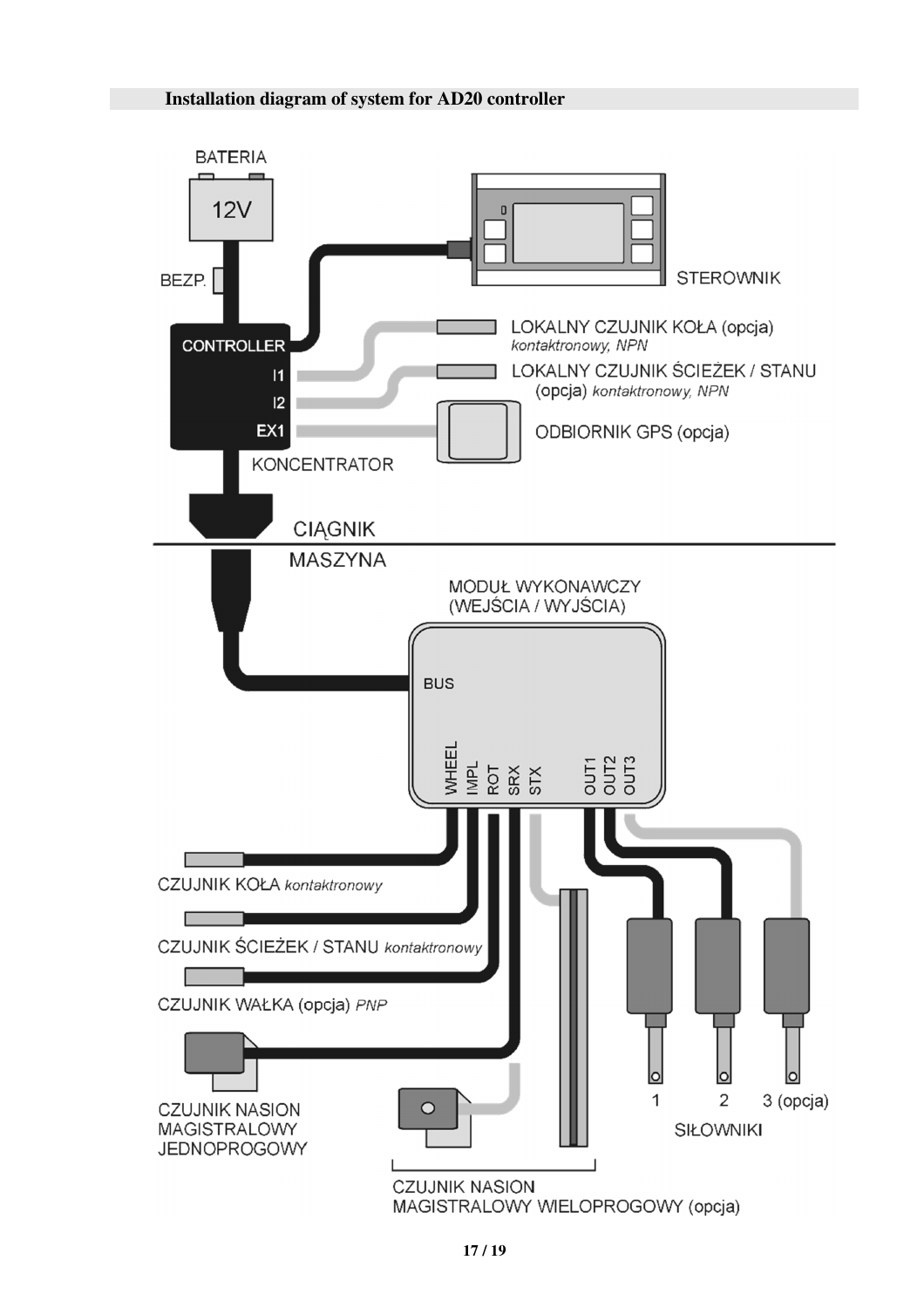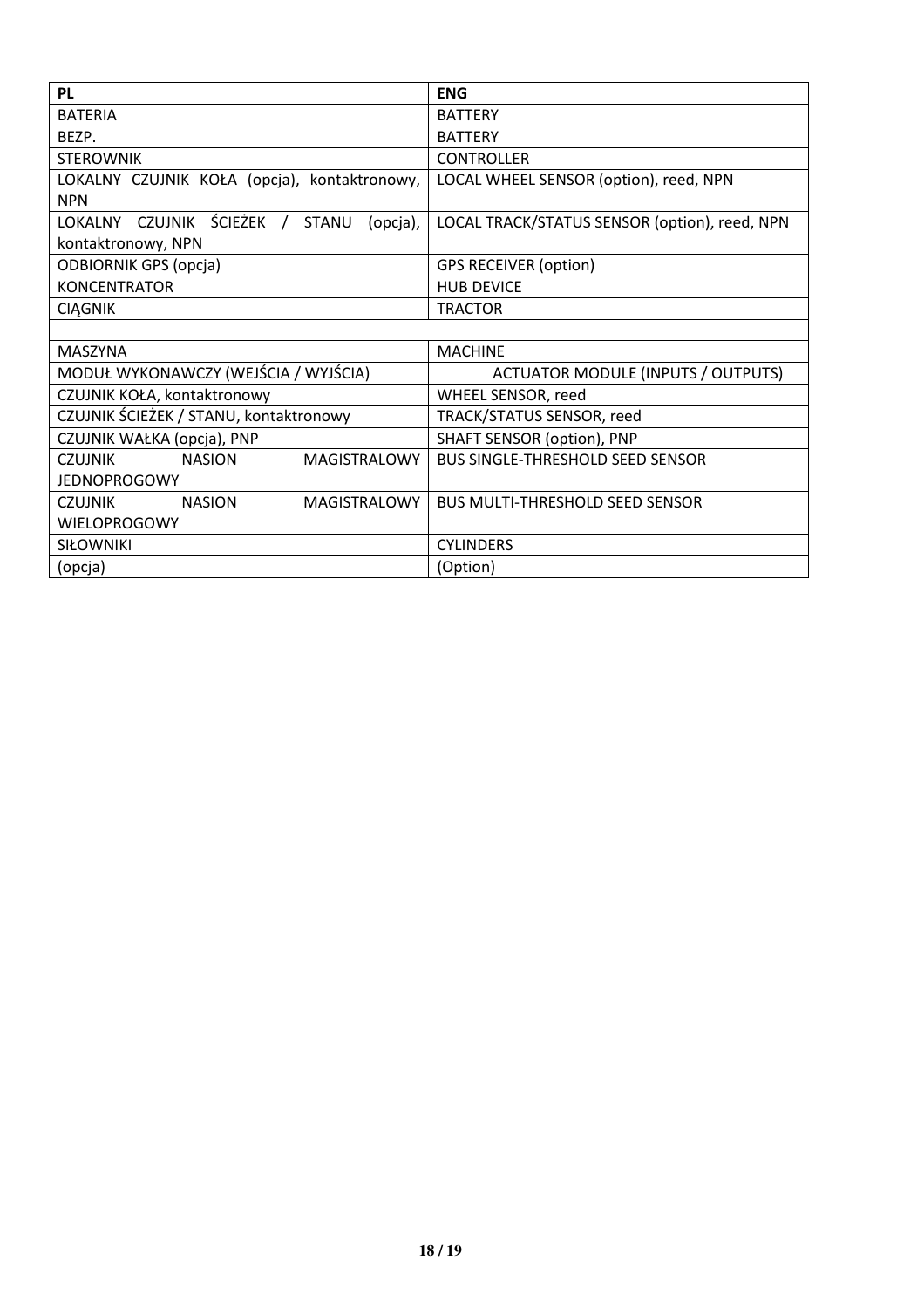| <b>PL</b>                                              | <b>ENG</b>                                    |  |
|--------------------------------------------------------|-----------------------------------------------|--|
| <b>BATERIA</b>                                         | <b>BATTERY</b>                                |  |
| BEZP.                                                  | <b>BATTERY</b>                                |  |
| <b>STEROWNIK</b>                                       | <b>CONTROLLER</b>                             |  |
| LOKALNY CZUJNIK KOŁA (opcja), kontaktronowy,           | LOCAL WHEEL SENSOR (option), reed, NPN        |  |
| <b>NPN</b>                                             |                                               |  |
| LOKALNY CZUJNIK ŚCIEŻEK / STANU<br>(opcja),            | LOCAL TRACK/STATUS SENSOR (option), reed, NPN |  |
| kontaktronowy, NPN                                     |                                               |  |
| <b>ODBIORNIK GPS (opcja)</b>                           | <b>GPS RECEIVER (option)</b>                  |  |
| <b>KONCENTRATOR</b>                                    | <b>HUB DEVICE</b>                             |  |
| <b>CIAGNIK</b>                                         | <b>TRACTOR</b>                                |  |
|                                                        |                                               |  |
| <b>MASZYNA</b>                                         | <b>MACHINE</b>                                |  |
| MODUŁ WYKONAWCZY (WEJŚCIA / WYJŚCIA)                   | <b>ACTUATOR MODULE (INPUTS / OUTPUTS)</b>     |  |
| CZUJNIK KOŁA, kontaktronowy                            | WHEEL SENSOR, reed                            |  |
| CZUJNIK ŚCIEŻEK / STANU, kontaktronowy                 | TRACK/STATUS SENSOR, reed                     |  |
| CZUJNIK WAŁKA (opcja), PNP                             | <b>SHAFT SENSOR (option), PNP</b>             |  |
| <b>NASION</b><br><b>MAGISTRALOWY</b><br><b>CZUJNIK</b> | <b>BUS SINGLE-THRESHOLD SEED SENSOR</b>       |  |
| <b>JEDNOPROGOWY</b>                                    |                                               |  |
| MAGISTRALOWY<br><b>CZUJNIK</b><br><b>NASION</b>        | <b>BUS MULTI-THRESHOLD SEED SENSOR</b>        |  |
| <b>WIELOPROGOWY</b>                                    |                                               |  |
| <b>SIŁOWNIKI</b>                                       | <b>CYLINDERS</b>                              |  |
| (opcja)                                                | (Option)                                      |  |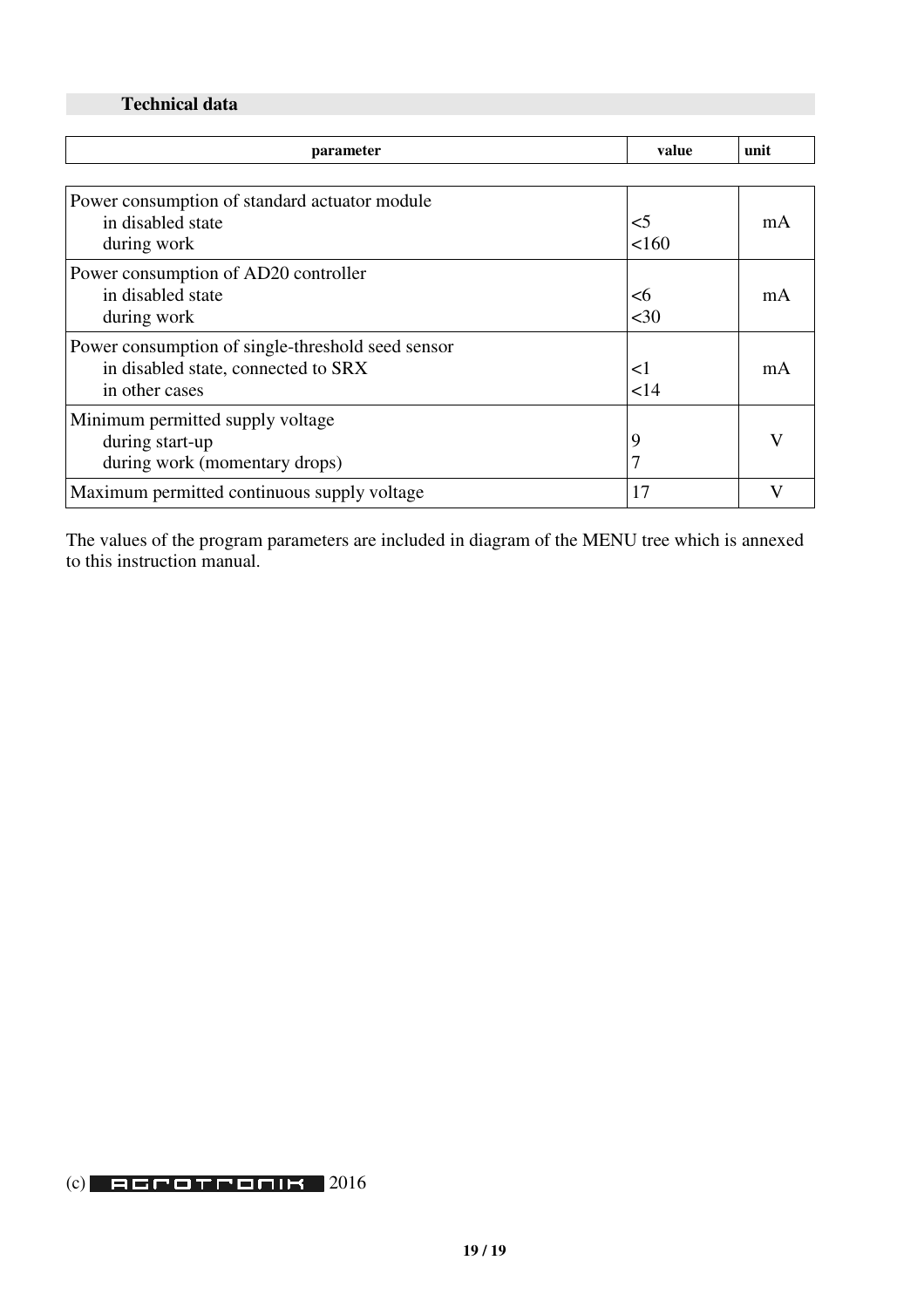## **Technical data**

| parameter                                         | value  | unit |
|---------------------------------------------------|--------|------|
|                                                   |        |      |
| Power consumption of standard actuator module     |        |      |
| in disabled state                                 | $<$ 5  | mA   |
| during work                                       | 160    |      |
| Power consumption of AD20 controller              |        |      |
| in disabled state                                 | <6     | mA   |
| during work                                       | $30$   |      |
| Power consumption of single-threshold seed sensor |        |      |
| in disabled state, connected to SRX               | ${<}1$ | mA   |
| in other cases                                    | 14     |      |
| Minimum permitted supply voltage                  |        |      |
| during start-up                                   | 9      |      |
| during work (momentary drops)                     | 7      |      |
| Maximum permitted continuous supply voltage       | 17     |      |

The values of the program parameters are included in diagram of the MENU tree which is annexed to this instruction manual.

## $(c)$  2016 din Point  $2016$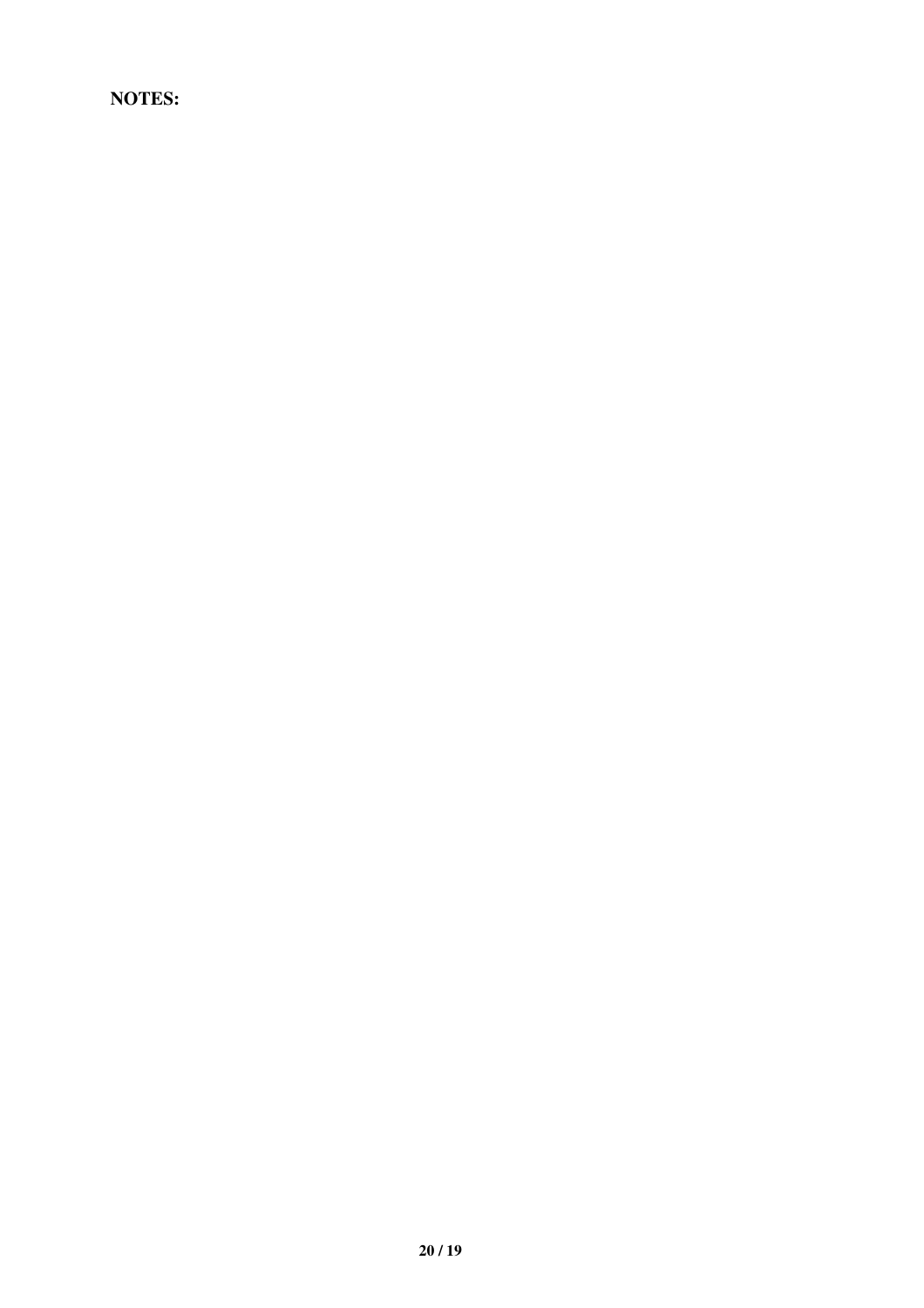**NOTES:**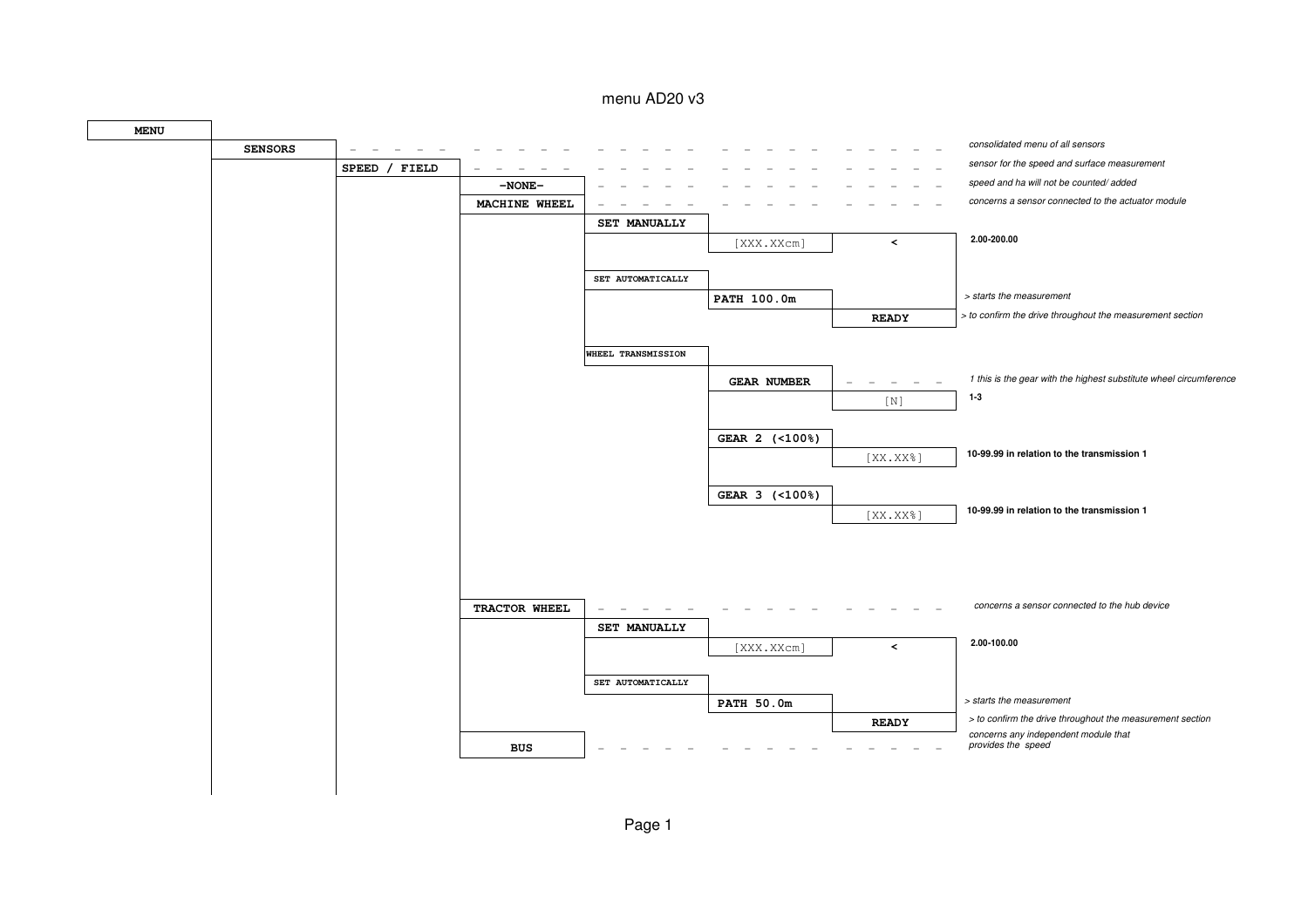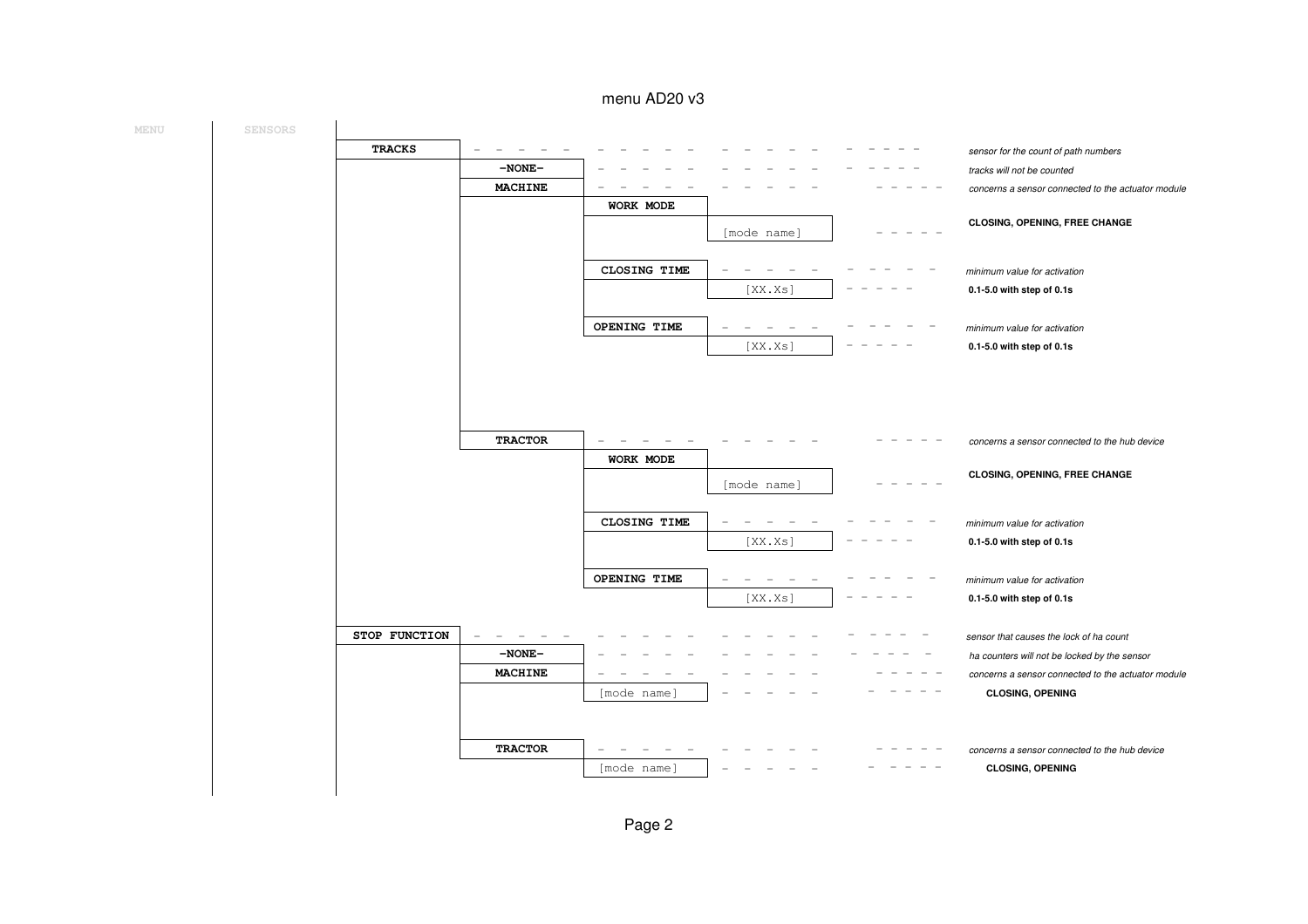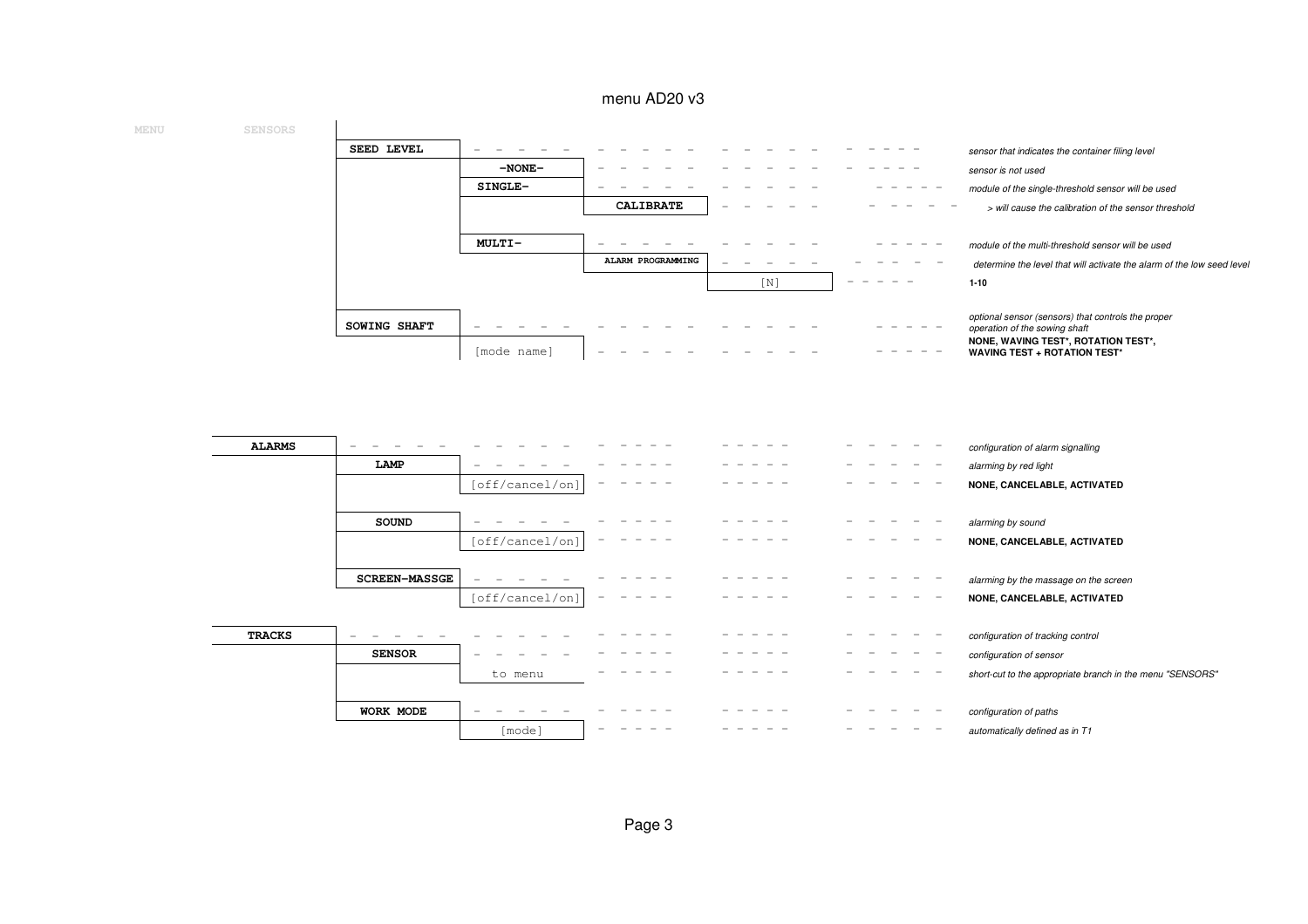